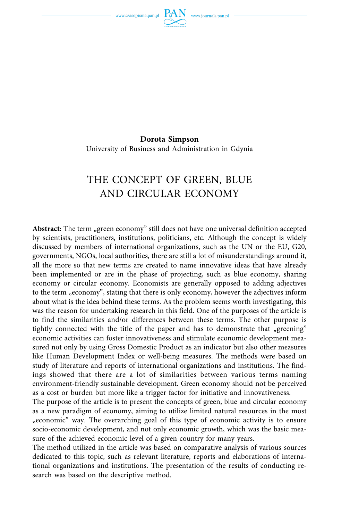www.czasopisma.pan.pl



**Dorota Simpson**  University of Business and Administration in Gdynia

# THE CONCEPT OF GREEN, BLUE AND CIRCULAR ECONOMY

**Abstract:** The term "green economy" still does not have one universal definition accepted by scientists, practitioners, institutions, politicians, etc. Although the concept is widely discussed by members of international organizations, such as the UN or the EU, G20, governments, NGOs, local authorities, there are still a lot of misunderstandings around it, all the more so that new terms are created to name innovative ideas that have already been implemented or are in the phase of projecting, such as blue economy, sharing economy or circular economy. Economists are generally opposed to adding adjectives to the term "economy", stating that there is only economy, however the adjectives inform about what is the idea behind these terms. As the problem seems worth investigating, this was the reason for undertaking research in this field. One of the purposes of the article is to find the similarities and/or differences between these terms. The other purpose is tightly connected with the title of the paper and has to demonstrate that "greening" economic activities can foster innovativeness and stimulate economic development measured not only by using Gross Domestic Product as an indicator but also other measures like Human Development Index or well-being measures. The methods were based on study of literature and reports of international organizations and institutions. The findings showed that there are a lot of similarities between various terms naming environment-friendly sustainable development. Green economy should not be perceived as a cost or burden but more like a trigger factor for initiative and innovativeness.

The purpose of the article is to present the concepts of green, blue and circular economy as a new paradigm of economy, aiming to utilize limited natural resources in the most "economic" way. The overarching goal of this type of economic activity is to ensure socio-economic development, and not only economic growth, which was the basic measure of the achieved economic level of a given country for many years.

The method utilized in the article was based on comparative analysis of various sources dedicated to this topic, such as relevant literature, reports and elaborations of international organizations and institutions. The presentation of the results of conducting research was based on the descriptive method.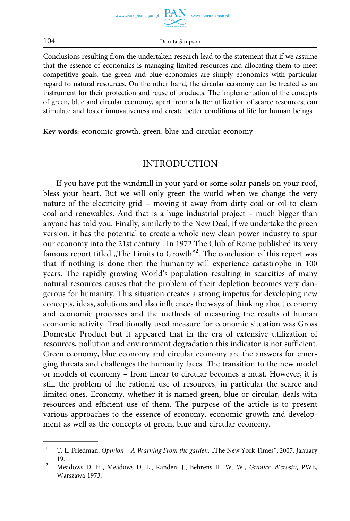

 $PAN$  www.journals.pan.pl

104 Dorota Simpson

Conclusions resulting from the undertaken research lead to the statement that if we assume that the essence of economics is managing limited resources and allocating them to meet competitive goals, the green and blue economies are simply economics with particular regard to natural resources. On the other hand, the circular economy can be treated as an instrument for their protection and reuse of products. The implementation of the concepts of green, blue and circular economy, apart from a better utilization of scarce resources, can stimulate and foster innovativeness and create better conditions of life for human beings.

**Key words:** economic growth, green, blue and circular economy

### INTRODUCTION

If you have put the windmill in your yard or some solar panels on your roof, bless your heart. But we will only green the world when we change the very nature of the electricity grid – moving it away from dirty coal or oil to clean coal and renewables. And that is a huge industrial project – much bigger than anyone has told you. Finally, similarly to the New Deal, if we undertake the green version, it has the potential to create a whole new clean power industry to spur our economy into the 21st century<sup>1</sup>. In 1972 The Club of Rome published its very famous report titled "The Limits to Growth<sup>"2</sup>. The conclusion of this report was that if nothing is done then the humanity will experience catastrophe in 100 years. The rapidly growing World's population resulting in scarcities of many natural resources causes that the problem of their depletion becomes very dangerous for humanity. This situation creates a strong impetus for developing new concepts, ideas, solutions and also influences the ways of thinking about economy and economic processes and the methods of measuring the results of human economic activity. Traditionally used measure for economic situation was Gross Domestic Product but it appeared that in the era of extensive utilization of resources, pollution and environment degradation this indicator is not sufficient. Green economy, blue economy and circular economy are the answers for emerging threats and challenges the humanity faces. The transition to the new model or models of economy – from linear to circular becomes a must. However, it is still the problem of the rational use of resources, in particular the scarce and limited ones. Economy, whether it is named green, blue or circular, deals with resources and efficient use of them. The purpose of the article is to present various approaches to the essence of economy, economic growth and development as well as the concepts of green, blue and circular economy.

<sup>&</sup>lt;sup>1</sup> T. L. Friedman, *Opinion – A Warning From the garden*, "The New York Times", 2007, January 19. 2 Meadows D. H., Meadows D. L., Randers J., Behrens III W. W., *Granice Wzrostu,* PWE,

Warszawa 1973.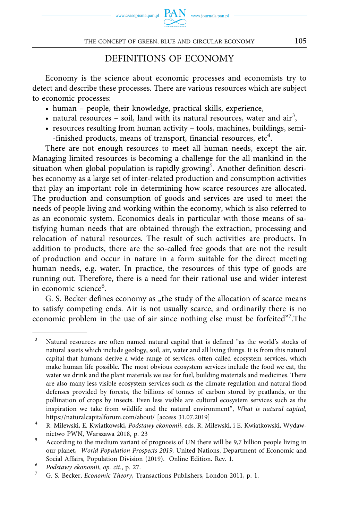

### DEFINITIONS OF ECONOMY

Economy is the science about economic processes and economists try to detect and describe these processes. There are various resources which are subject to economic processes:

- human people, their knowledge, practical skills, experience,
- natural resources  $-$  soil, land with its natural resources, water and air<sup>3</sup>,
- resources resulting from human activity tools, machines, buildings, semi- -finished products, means of transport, financial resources, etc<sup>4</sup>.

There are not enough resources to meet all human needs, except the air. Managing limited resources is becoming a challenge for the all mankind in the situation when global population is rapidly growing<sup>5</sup>. Another definition describes economy as a large set of inter-related production and consumption activities that play an important role in determining how scarce resources are allocated. The production and consumption of goods and services are used to meet the needs of people living and working within the economy, which is also referred to as an economic system. Economics deals in particular with those means of satisfying human needs that are obtained through the extraction, processing and relocation of natural resources. The result of such activities are products. In addition to products, there are the so-called free goods that are not the result of production and occur in nature in a form suitable for the direct meeting human needs, e.g. water. In practice, the resources of this type of goods are running out. Therefore, there is a need for their rational use and wider interest in economic science<sup>6</sup>.

G. S. Becker defines economy as "the study of the allocation of scarce means to satisfy competing ends. Air is not usually scarce, and ordinarily there is no economic problem in the use of air since nothing else must be forfeited"<sup>7</sup>.The

<sup>3</sup> Natural resources are often named natural capital that is defined "as the world's stocks of natural assets which include geology, soil, air, water and all living things. It is from this natural capital that humans derive a wide range of services, often called ecosystem services, which make human life possible. The most obvious ecosystem services include the food we eat, the water we drink and the plant materials we use for fuel, building materials and medicines. There are also many less visible ecosystem services such as the climate regulation and natural flood defenses provided by forests, the billions of tonnes of carbon stored by peatlands, or the pollination of crops by insects. Even less visible are cultural ecosystem services such as the inspiration we take from wildlife and the natural environment", *What is natural capital*,

<https://naturalcapitalforum.com/about/> [access 31.07.2019] 4 R. Milewski, E. Kwiatkowski, *Podstawy ekonomii*, eds. R. Milewski, i E. Kwiatkowski, Wydaw-

nictwo PWN, Warszawa 2018, p. 23<br>  $\frac{5}{\pi}$  According to the medium variant of prognosis of UN there will be 9,7 billion people living in our planet, *World Population Prospects 2019,* United Nations, Department of Economic and

Social Affairs, Population Division (2019). Online Edition. Rev. 1. 6 *Podstawy ekonomii*, *op. cit*., p. 27. 7 G. S. Becker, *Economic Theory*, Transactions Publishers, London 2011, p. 1.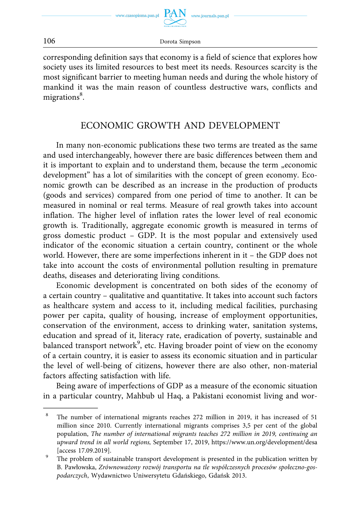

www.journals.pan.pl

106 Dorota Simpson

corresponding definition says that economy is a field of science that explores how society uses its limited resources to best meet its needs. Resources scarcity is the most significant barrier to meeting human needs and during the whole history of mankind it was the main reason of countless destructive wars, conflicts and migrations<sup>8</sup>.

## ECONOMIC GROWTH AND DEVELOPMENT

In many non-economic publications these two terms are treated as the same and used interchangeably, however there are basic differences between them and it is important to explain and to understand them, because the term "economic development" has a lot of similarities with the concept of green economy. Economic growth can be described as an increase in the production of products (goods and services) compared from one period of time to another. It can be measured in nominal or real terms. Measure of real growth takes into account inflation. The higher level of inflation rates the lower level of real economic growth is. Traditionally, aggregate economic growth is measured in terms of gross domestic product – GDP. It is the most popular and extensively used indicator of the economic situation a certain country, continent or the whole world. However, there are some imperfections inherent in it – the GDP does not take into account the costs of environmental pollution resulting in premature deaths, diseases and deteriorating living conditions.

Economic development is concentrated on both sides of the economy of a certain country – qualitative and quantitative. It takes into account such factors as healthcare system and access to it, including medical facilities, purchasing power per capita, quality of housing, increase of employment opportunities, conservation of the environment, access to drinking water, sanitation systems, education and spread of it, literacy rate, eradication of poverty, sustainable and balanced transport network<sup>9</sup>, etc. Having broader point of view on the economy of a certain country, it is easier to assess its economic situation and in particular the level of well-being of citizens, however there are also other, non-material factors affecting satisfaction with life.

Being aware of imperfections of GDP as a measure of the economic situation in a particular country, Mahbub ul Haq, a Pakistani economist living and wor-

<sup>8</sup> The number of international migrants reaches 272 million in 2019, it has increased of 51 million since 2010. Currently international migrants comprises 3,5 per cent of the global population, *The number of international migrants teaches 272 million in 2019, continuing an upward trend in all world regions,* September 17, 2019, <https://www.un.org/development/desa> [access 17.09.2019]. 9 The problem of sustainable transport development is presented in the publication written by

B. Pawłowska, *Zrównoważony rozwój transportu na tle współczesnych procesów społeczno-gospodarczych*, Wydawnictwo Uniwersytetu Gdańskiego, Gdańsk 2013.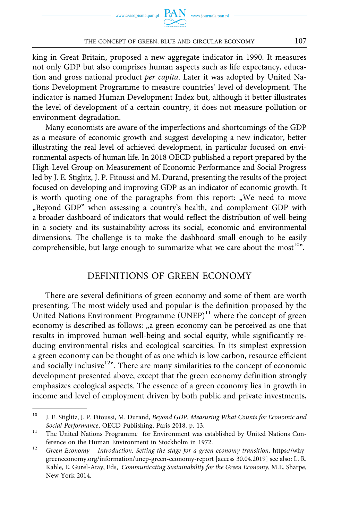#### THE CONCEPT OF GREEN, BLUE AND CIRCULAR ECONOMY 107

king in Great Britain, proposed a new aggregate indicator in 1990. It measures not only GDP but also comprises human aspects such as life expectancy, education and gross national product *per capita*. Later it was adopted by United Nations Development Programme to measure countries' level of development. The indicator is named Human Development Index but, although it better illustrates the level of development of a certain country, it does not measure pollution or environment degradation.

Many economists are aware of the imperfections and shortcomings of the GDP as a measure of economic growth and suggest developing a new indicator, better illustrating the real level of achieved development, in particular focused on environmental aspects of human life. In 2018 OECD published a report prepared by the High-Level Group on Measurement of Economic Performance and Social Progress led by J. E. Stiglitz, J. P. Fitoussi and M. Durand, presenting the results of the project focused on developing and improving GDP as an indicator of economic growth. It is worth quoting one of the paragraphs from this report: "We need to move "Beyond GDP" when assessing a country's health, and complement GDP with a broader dashboard of indicators that would reflect the distribution of well-being in a society and its sustainability across its social, economic and environmental dimensions. The challenge is to make the dashboard small enough to be easily comprehensible, but large enough to summarize what we care about the most $^{10}$ ".

### DEFINITIONS OF GREEN ECONOMY

There are several definitions of green economy and some of them are worth presenting. The most widely used and popular is the definition proposed by the United Nations Environment Programme  $(UNEP)^{11}$  where the concept of green economy is described as follows: "a green economy can be perceived as one that results in improved human well-being and social equity, while significantly reducing environmental risks and ecological scarcities. In its simplest expression a green economy can be thought of as one which is low carbon, resource efficient and socially inclusive $12$ ". There are many similarities to the concept of economic development presented above, except that the green economy definition strongly emphasizes ecological aspects. The essence of a green economy lies in growth in income and level of employment driven by both public and private investments,

<sup>10</sup> J. E. Stiglitz, J. P. Fitoussi, M. Durand, *Beyond GDP. Measuring What Counts for Economic and Social Performance*, OECD Publishing, Paris 2018, p. 13.<br><sup>11</sup> The United Nations Programme for Environment was established by United Nations Con-

ference on the Human Environment in Stockholm in 1972. 12 *Green Economy – Introduction. Setting the stage for a green economy transition,* [https://why](https://whygreeneconomy.org/information/unep-green-economy-report)[greeneconomy.org/information/unep-green-economy-report](https://whygreeneconomy.org/information/unep-green-economy-report) [access 30.04.2019] see also: L. R. Kahle, E. Gurel-Atay, Eds, *Communicating Sustainability for the Green Economy*, M.E. Sharpe, New York 2014.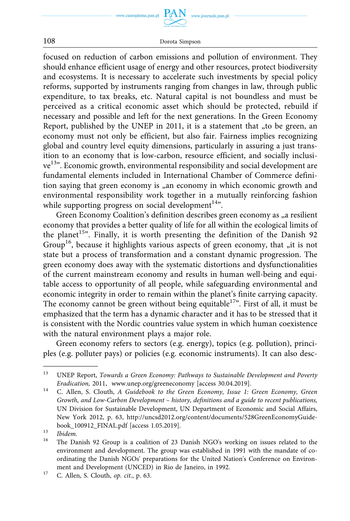www.czasopisma.pan.pl

www.journals.pan.pl

108 Dorota Simpson

focused on reduction of carbon emissions and pollution of environment. They should enhance efficient usage of energy and other resources, protect biodiversity and ecosystems. It is necessary to accelerate such investments by special policy reforms, supported by instruments ranging from changes in law, through public expenditure, to tax breaks, etc. Natural capital is not boundless and must be perceived as a critical economic asset which should be protected, rebuild if necessary and possible and left for the next generations. In the Green Economy Report, published by the UNEP in 2011, it is a statement that "to be green, an economy must not only be efficient, but also fair. Fairness implies recognizing global and country level equity dimensions, particularly in assuring a just transition to an economy that is low-carbon, resource efficient, and socially inclusive<sup>13</sup>". Economic growth, environmental responsibility and social development are fundamental elements included in International Chamber of Commerce definition saying that green economy is "an economy in which economic growth and environmental responsibility work together in a mutually reinforcing fashion while supporting progress on social development $14$ ".

Green Economy Coalition's definition describes green economy as "a resilient economy that provides a better quality of life for all within the ecological limits of the planet<sup>15</sup>". Finally, it is worth presenting the definition of the Danish 92 Group<sup>16</sup>, because it highlights various aspects of green economy, that "it is not state but a process of transformation and a constant dynamic progression. The green economy does away with the systematic distortions and dysfunctionalities of the current mainstream economy and results in human well-being and equitable access to opportunity of all people, while safeguarding environmental and economic integrity in order to remain within the planet's finite carrying capacity. The economy cannot be green without being equitable<sup>17</sup>". First of all, it must be emphasized that the term has a dynamic character and it has to be stressed that it is consistent with the Nordic countries value system in which human coexistence with the natural environment plays a major role.

Green economy refers to sectors (e.g. energy), topics (e.g. pollution), principles (e.g. polluter pays) or policies (e.g. economic instruments). It can also desc-

<sup>13</sup> UNEP Report, *Towards a Green Economy: Pathways to Sustainable Development and Poverty Eradication,* 2011, www.unep.org/greeneconomy [access 30.04.2019]. 14 C. Allen, S. Clouth, *A Guidebook to the Green Economy, Issue 1: Green Economy, Green* 

*Growth, and Low-Carbon Development – history, definitions and a guide to recent publications,*  UN Division for Sustainable Development, UN Department of Economic and Social Affairs, New York 2012, p. 63, [http://uncsd2012.org/content/documents/528GreenEconomyGuide-](http://uncsd2012.org/content/documents/528GreenEconomyGuidebook_100912_FINAL.pdf)

[book\\_100912\\_FINAL.pdf](http://uncsd2012.org/content/documents/528GreenEconomyGuidebook_100912_FINAL.pdf) [access 1.05.2019]. 15 *Ibidem.* <sup>16</sup> The Danish 92 Group is a coalition of 23 Danish NGO's working on issues related to the environment and development. The group was established in 1991 with the mandate of coordinating the Danish NGOs' preparations for the United Nation's Conference on Environ-

ment and Development (UNCED) in Rio de Janeiro, in 1992. 17 C. Allen, S. Clouth, *op. cit*., p. 63.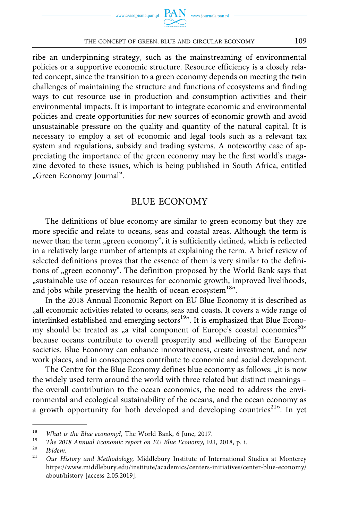

#### THE CONCEPT OF GREEN, BLUE AND CIRCULAR ECONOMY 109

ribe an underpinning strategy, such as the mainstreaming of environmental policies or a supportive economic structure. Resource efficiency is a closely related concept, since the transition to a green economy depends on meeting the twin challenges of maintaining the structure and functions of ecosystems and finding ways to cut resource use in production and consumption activities and their environmental impacts. It is important to integrate economic and environmental policies and create opportunities for new sources of economic growth and avoid unsustainable pressure on the quality and quantity of the natural capital. It is necessary to employ a set of economic and legal tools such as a relevant tax system and regulations, subsidy and trading systems. A noteworthy case of appreciating the importance of the green economy may be the first world's magazine devoted to these issues, which is being published in South Africa, entitled "Green Economy Journal".

### BLUE ECONOMY

The definitions of blue economy are similar to green economy but they are more specific and relate to oceans, seas and coastal areas. Although the term is newer than the term "green economy", it is sufficiently defined, which is reflected in a relatively large number of attempts at explaining the term. A brief review of selected definitions proves that the essence of them is very similar to the definitions of "green economy". The definition proposed by the World Bank says that "sustainable use of ocean resources for economic growth, improved livelihoods, and jobs while preserving the health of ocean ecosystem<sup>18</sup>".

In the 2018 Annual Economic Report on EU Blue Economy it is described as "all economic activities related to oceans, seas and coasts. It covers a wide range of interlinked established and emerging sectors<sup>19</sup>". It is emphasized that Blue Economy should be treated as "a vital component of Europe's coastal economies<sup>20</sup>" because oceans contribute to overall prosperity and wellbeing of the European societies. Blue Economy can enhance innovativeness, create investment, and new work places, and in consequences contribute to economic and social development.

The Centre for the Blue Economy defines blue economy as follows: "it is now the widely used term around the world with three related but distinct meanings – the overall contribution to the ocean economics, the need to address the environmental and ecological sustainability of the oceans, and the ocean economy as a growth opportunity for both developed and developing countries<sup>21</sup>". In yet

<sup>&</sup>lt;sup>18</sup> What is the Blue economy?, The World Bank, 6 June, 2017.<br><sup>19</sup> The 2018 Annual Economic report on EU Blue Economy, EU, 2018, p. i.<br><sup>20</sup> Ibidem.<br><sup>21</sup> Our History and Methodology, Middlebury Institute of International S [https://www.middlebury.edu/institute/academics/centers-initiatives/center-blue-economy/](https://www.middlebury.edu/institute/academics/centers-initiatives/center-blue-economy/about/history)  [about/history](https://www.middlebury.edu/institute/academics/centers-initiatives/center-blue-economy/about/history) [access 2.05.2019].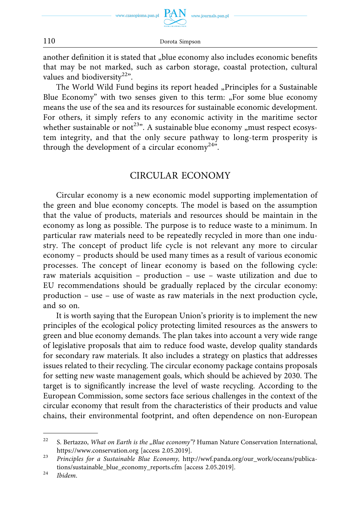

110 Dorota Simpson

another definition it is stated that "blue economy also includes economic benefits that may be not marked, such as carbon storage, coastal protection, cultural values and biodiversity<sup>22"</sup>.

The World Wild Fund begins its report headed "Principles for a Sustainable Blue Economy" with two senses given to this term: "For some blue economy means the use of the sea and its resources for sustainable economic development. For others, it simply refers to any economic activity in the maritime sector whether sustainable or not<sup>23</sup>". A sustainable blue economy "must respect ecosystem integrity, and that the only secure pathway to long-term prosperity is through the development of a circular economy<sup>24</sup>".

### CIRCULAR ECONOMY

Circular economy is a new economic model supporting implementation of the green and blue economy concepts. The model is based on the assumption that the value of products, materials and resources should be maintain in the economy as long as possible. The purpose is to reduce waste to a minimum. In particular raw materials need to be repeatedly recycled in more than one industry. The concept of product life cycle is not relevant any more to circular economy – products should be used many times as a result of various economic processes. The concept of linear economy is based on the following cycle: raw materials acquisition – production – use – waste utilization and due to EU recommendations should be gradually replaced by the circular economy: production – use – use of waste as raw materials in the next production cycle, and so on.

It is worth saying that the European Union's priority is to implement the new principles of the ecological policy protecting limited resources as the answers to green and blue economy demands. The plan takes into account a very wide range of legislative proposals that aim to reduce food waste, develop quality standards for secondary raw materials. It also includes a strategy on plastics that addresses issues related to their recycling. The circular economy package contains proposals for setting new waste management goals, which should be achieved by 2030. The target is to significantly increase the level of waste recycling. According to the European Commission, some sectors face serious challenges in the context of the circular economy that result from the characteristics of their products and value chains, their environmental footprint, and often dependence on non-European

<sup>&</sup>lt;sup>22</sup> S. Bertazzo, *What on Earth is the "Blue economy*"? Human Nature Conservation International, <https://www.conservation.org>[access 2.05.2019]. 23 *Principles for a Sustainable Blue Economy,* [http://wwf.panda.org/our\\_work/oceans/publica-](http://wwf.panda.org/our_work/oceans/publications/sustainable_blue_economy_reports.cfm)

[tions/sustainable\\_blue\\_economy\\_reports.cfm](http://wwf.panda.org/our_work/oceans/publications/sustainable_blue_economy_reports.cfm) [access 2.05.2019]. 24 *Ibidem*.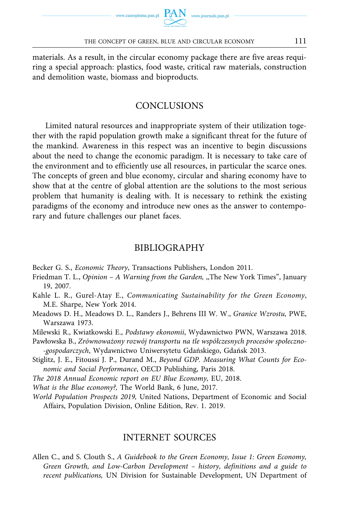materials. As a result, in the circular economy package there are five areas requiring a special approach: plastics, food waste, critical raw materials, construction and demolition waste, biomass and bioproducts.

### CONCLUSIONS

Limited natural resources and inappropriate system of their utilization together with the rapid population growth make a significant threat for the future of the mankind. Awareness in this respect was an incentive to begin discussions about the need to change the economic paradigm. It is necessary to take care of the environment and to efficiently use all resources, in particular the scarce ones. The concepts of green and blue economy, circular and sharing economy have to show that at the centre of global attention are the solutions to the most serious problem that humanity is dealing with. It is necessary to rethink the existing paradigms of the economy and introduce new ones as the answer to contemporary and future challenges our planet faces.

### BIBLIOGRAPHY

- Becker G. S., *Economic Theory*, Transactions Publishers, London 2011.
- Friedman T. L., *Opinion A Warning from the Garden,* ,,The New York Times", January 19, 2007.
- Kahle L. R., Gurel-Atay E., *Communicating Sustainability for the Green Economy*, M.E. Sharpe, New York 2014.
- Meadows D. H., Meadows D. L., Randers J., Behrens III W. W., *Granice Wzrostu,* PWE, Warszawa 1973.

Milewski R., Kwiatkowski E., *Podstawy ekonomii*, Wydawnictwo PWN, Warszawa 2018.

- Pawłowska B., *Zrównoważony rozwój transportu na tle współczesnych procesów społeczno- -gospodarczych*, Wydawnictwo Uniwersytetu Gdańskiego, Gdańsk 2013.
- Stiglitz, J. E., Fitoussi J. P., Durand M., *Beyond GDP. Measuring What Counts for Economic and Social Performance*, OECD Publishing, Paris 2018.

*The 2018 Annual Economic report on EU Blue Economy,* EU, 2018.

- *What is the Blue economy?,* The World Bank, 6 June, 2017.
- *World Population Prospects 2019,* United Nations, Department of Economic and Social Affairs, Population Division, Online Edition, Rev. 1. 2019.

### INTERNET SOURCES

Allen C., and S. Clouth S., *A Guidebook to the Green Economy, Issue 1: Green Economy, Green Growth, and Low-Carbon Development – history, definitions and a guide to recent publications,* UN Division for Sustainable Development, UN Department of